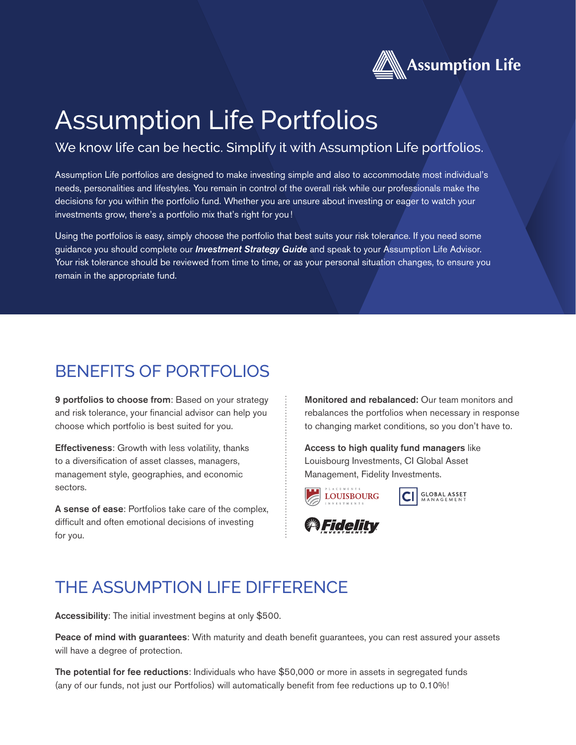

# Assumption Life Portfolios

#### We know life can be hectic. Simplify it with Assumption Life portfolios.

Assumption Life portfolios are designed to make investing simple and also to accommodate most individual's needs, personalities and lifestyles. You remain in control of the overall risk while our professionals make the decisions for you within the portfolio fund. Whether you are unsure about investing or eager to watch your investments grow, there's a portfolio mix that's right for you!

Using the portfolios is easy, simply choose the portfolio that best suits your risk tolerance. If you need some guidance you should complete our *Investment Strategy Guide* and speak to your Assumption Life Advisor. Your risk tolerance should be reviewed from time to time, or as your personal situation changes, to ensure you remain in the appropriate fund.

#### BENEFITS OF PORTFOLIOS

9 portfolios to choose from: Based on your strategy and risk tolerance, your financial advisor can help you choose which portfolio is best suited for you.

Effectiveness: Growth with less volatility, thanks to a diversification of asset classes, managers, management style, geographies, and economic sectors.

A sense of ease: Portfolios take care of the complex, difficult and often emotional decisions of investing for you.

Monitored and rebalanced: Our team monitors and rebalances the portfolios when necessary in response to changing market conditions, so you don't have to.

Access to high quality fund managers like Louisbourg Investments, CI Global Asset Management, Fidelity Investments.



**GLOBAL ASSET**<br>MANAGEMENT



### THE ASSUMPTION LIFE DIFFERENCE

Accessibility: The initial investment begins at only \$500.

Peace of mind with guarantees: With maturity and death benefit guarantees, you can rest assured your assets will have a degree of protection.

The potential for fee reductions: Individuals who have \$50,000 or more in assets in segregated funds (any of our funds, not just our Portfolios) will automatically benefit from fee reductions up to 0.10%!